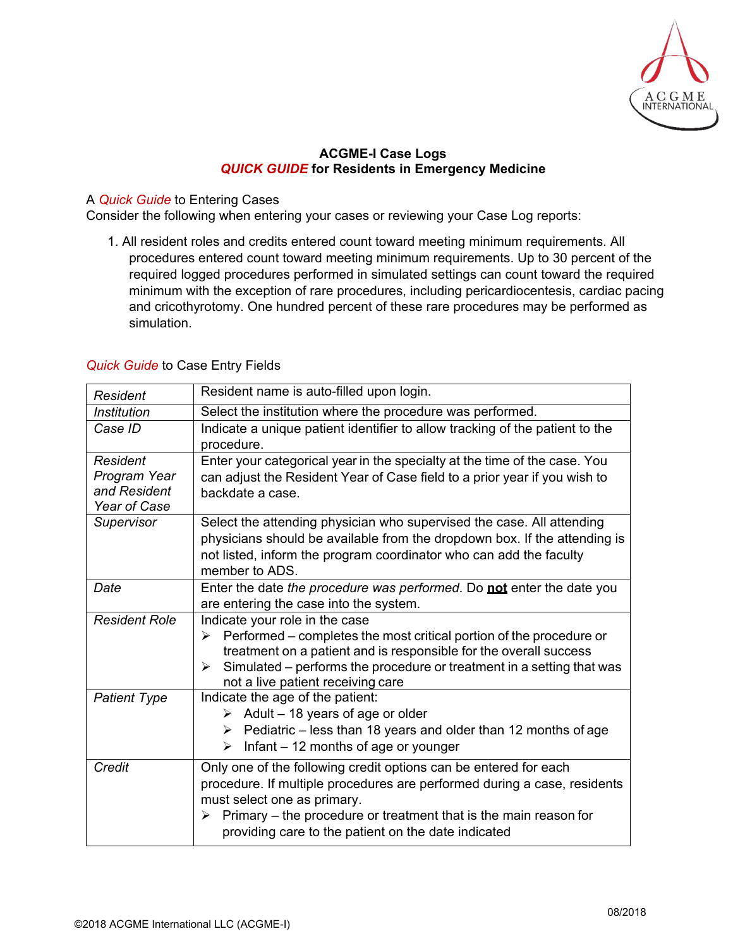

## **ACGME-I Case Logs**  *QUICK GUIDE* **for Residents in Emergency Medicine**

## A *Quick Guide* to Entering Cases

Consider the following when entering your cases or reviewing your Case Log reports:

1. All resident roles and credits entered count toward meeting minimum requirements. All procedures entered count toward meeting minimum requirements. Up to 30 percent of the required logged procedures performed in simulated settings can count toward the required minimum with the exception of rare procedures, including pericardiocentesis, cardiac pacing and cricothyrotomy. One hundred percent of these rare procedures may be performed as simulation.

## *Quick Guide* to Case Entry Fields

| <b>Resident</b>                                                 | Resident name is auto-filled upon login.                                                                                                                                                                                                                                                                    |
|-----------------------------------------------------------------|-------------------------------------------------------------------------------------------------------------------------------------------------------------------------------------------------------------------------------------------------------------------------------------------------------------|
| <b>Institution</b>                                              | Select the institution where the procedure was performed.                                                                                                                                                                                                                                                   |
| Case ID                                                         | Indicate a unique patient identifier to allow tracking of the patient to the<br>procedure.                                                                                                                                                                                                                  |
| <b>Resident</b><br>Program Year<br>and Resident<br>Year of Case | Enter your categorical year in the specialty at the time of the case. You<br>can adjust the Resident Year of Case field to a prior year if you wish to<br>backdate a case.                                                                                                                                  |
| Supervisor                                                      | Select the attending physician who supervised the case. All attending<br>physicians should be available from the dropdown box. If the attending is<br>not listed, inform the program coordinator who can add the faculty<br>member to ADS.                                                                  |
| Date                                                            | Enter the date the procedure was performed. Do not enter the date you<br>are entering the case into the system.                                                                                                                                                                                             |
| <b>Resident Role</b>                                            | Indicate your role in the case<br>Performed – completes the most critical portion of the procedure or<br>treatment on a patient and is responsible for the overall success<br>Simulated – performs the procedure or treatment in a setting that was<br>➤<br>not a live patient receiving care               |
| <b>Patient Type</b>                                             | Indicate the age of the patient:<br>$\triangleright$ Adult - 18 years of age or older<br>$\triangleright$ Pediatric – less than 18 years and older than 12 months of age<br>Infant - 12 months of age or younger<br>$\blacktriangleright$                                                                   |
| Credit                                                          | Only one of the following credit options can be entered for each<br>procedure. If multiple procedures are performed during a case, residents<br>must select one as primary.<br>Primary - the procedure or treatment that is the main reason for<br>≻<br>providing care to the patient on the date indicated |